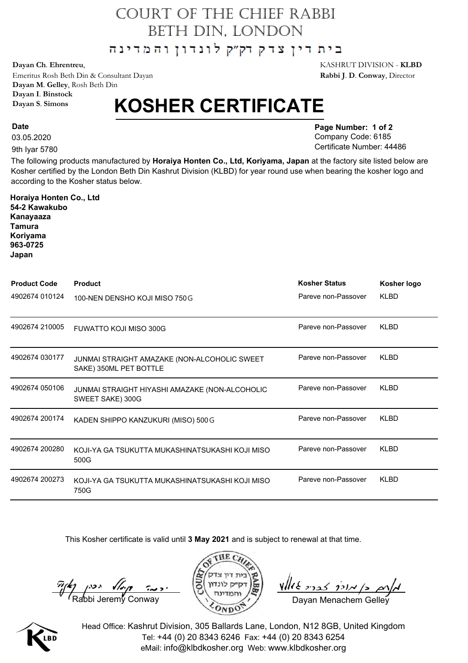## COURT OF THE CHIEF RABBI BETH DIN, LONDON

בית דין צדק דק"ק לונדון והמדינה

Emeritus Rosh Beth Din & Consultant Dayan **Rabbi J**. **D**. **Conway**, Director **Dayan M**. **Gelley**, Rosh Beth Din **Dayan I**. **Binstock Dayan S**. **Simons**

## **KOSHER CERTIFICATE**

03.05.2020

**Date**

9th Iyar 5780

**Horaiya Honten Co., Ltd**

**Page Number: 1 of 2** Company Code: 6185 Certificate Number: 44486

The following products manufactured by **Horaiya Honten Co., Ltd, Koriyama, Japan** at the factory site listed below are Kosher certified by the London Beth Din Kashrut Division (KLBD) for year round use when bearing the kosher logo and according to the Kosher status below.

| 54-2 Kawakubo<br>Kanayaaza<br><b>Tamura</b><br>Koriyama<br>963-0725<br>Japan |                                                                        |                      |             |
|------------------------------------------------------------------------------|------------------------------------------------------------------------|----------------------|-------------|
| <b>Product Code</b>                                                          | <b>Product</b>                                                         | <b>Kosher Status</b> | Kosher logo |
| 4902674 010124                                                               | 100-NEN DENSHO KOJI MISO 750 G                                         | Pareve non-Passover  | <b>KLBD</b> |
| 4902674 210005                                                               | <b>FUWATTO KOJI MISO 300G</b>                                          | Pareve non-Passover  | <b>KLBD</b> |
| 4902674 030177                                                               | JUNMAI STRAIGHT AMAZAKE (NON-ALCOHOLIC SWEET<br>SAKE) 350ML PET BOTTLE | Pareve non-Passover  | <b>KLBD</b> |
| 4902674 050106                                                               | JUNMAI STRAIGHT HIYASHI AMAZAKE (NON-ALCOHOLIC<br>SWEET SAKE) 300G     | Pareve non-Passover  | <b>KLBD</b> |
| 4902674 200174                                                               | KADEN SHIPPO KANZUKURI (MISO) 500 G                                    | Pareve non-Passover  | <b>KLBD</b> |
| 4902674 200280                                                               | KOJI-YA GA TSUKUTTA MUKASHINATSUKASHI KOJI MISO<br>500G                | Pareve non-Passover  | <b>KLBD</b> |
| 4902674 200273                                                               | KOJI-YA GA TSUKUTTA MUKASHINATSUKASHI KOJI MISO<br>750G                | Pareve non-Passover  | <b>KLBD</b> |
|                                                                              |                                                                        |                      |             |

This Kosher certificate is valid until **3 May 2021** and is subject to renewal at that time.

 $\frac{\pi}{k}$   $\left(\frac{k}{\text{Rabbi}}\right)$   $\left(\frac{1}{\text{Rabbi}}\right)$   $\left(\frac{k}{\text{Rabbi}}\right)$   $\left(\frac{k}{\text{Rabbi}}\right)$   $\left(\frac{k}{\text{Rabbi}}\right)$   $\left(\frac{k}{\text{Rabbi}}\right)$   $\left(\frac{k}{\text{Rabbi}}\right)$   $\left(\frac{k}{\text{Rabbi}}\right)$   $\left(\frac{k}{\text{Rabbi}}\right)$   $\left(\frac{k}{\text{Rabbi}}\right)$   $\left(\frac{k}{\text{Rabbi}}\right)$ 





Head Office: Kashrut Division, 305 Ballards Lane, London, N12 8GB, United Kingdom Tel: +44 (0) 20 8343 6246 Fax: +44 (0) 20 8343 6254 eMail: info@klbdkosher.org Web: www.klbdkosher.org

**Dayan Ch**. **Ehrentreu**, KASHRUT DIVISION - **KLBD**